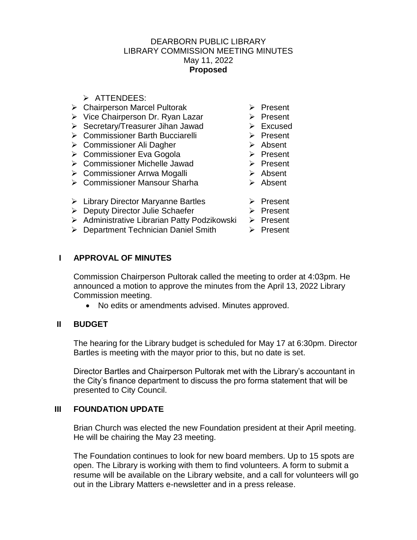### DEARBORN PUBLIC LIBRARY LIBRARY COMMISSION MEETING MINUTES May 11, 2022 **Proposed**

- $\triangleright$  ATTENDEES:
- ▶ Chairperson Marcel Pultorak ▶ Present
- $\triangleright$  Vice Chairperson Dr. Ryan Lazar  $\triangleright$  Present
- ▶ Secretary/Treasurer Jihan Jawad ▶ Excused
- > Commissioner Barth Bucciarelli > Present
- **► Commissioner Ali Dagher**
- **► Commissioner Eva Gogola**
- ▶ Commissioner Michelle Jawad → Present
- Commissioner Arrwa Mogalli
- Commissioner Mansour Sharha
- $\triangleright$  Library Director Maryanne Bartles  $\triangleright$  Present
- ▶ Deputy Director Julie Schaefer
- > Administrative Librarian Patty Podzikowski > Present
- ▶ Department Technician Daniel Smith ▶ Present
- 
- 
- 
- 
- > Absent
- $\triangleright$  Present
	-
- $\triangleright$  Absent
- **►** Absent
	-
	- $\triangleright$  Present
		-
		-

### **I APPROVAL OF MINUTES**

Commission Chairperson Pultorak called the meeting to order at 4:03pm. He announced a motion to approve the minutes from the April 13, 2022 Library Commission meeting.

No edits or amendments advised. Minutes approved.

### **II BUDGET**

The hearing for the Library budget is scheduled for May 17 at 6:30pm. Director Bartles is meeting with the mayor prior to this, but no date is set.

Director Bartles and Chairperson Pultorak met with the Library's accountant in the City's finance department to discuss the pro forma statement that will be presented to City Council.

### **III FOUNDATION UPDATE**

Brian Church was elected the new Foundation president at their April meeting. He will be chairing the May 23 meeting.

The Foundation continues to look for new board members. Up to 15 spots are open. The Library is working with them to find volunteers. A form to submit a resume will be available on the Library website, and a call for volunteers will go out in the Library Matters e-newsletter and in a press release.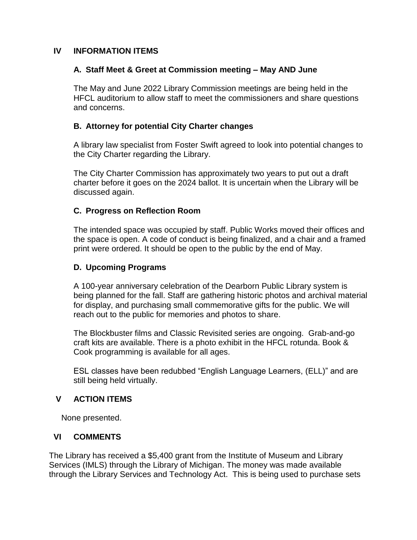### **IV INFORMATION ITEMS**

# **A. Staff Meet & Greet at Commission meeting – May AND June**

The May and June 2022 Library Commission meetings are being held in the HFCL auditorium to allow staff to meet the commissioners and share questions and concerns.

# **B. Attorney for potential City Charter changes**

A library law specialist from Foster Swift agreed to look into potential changes to the City Charter regarding the Library.

The City Charter Commission has approximately two years to put out a draft charter before it goes on the 2024 ballot. It is uncertain when the Library will be discussed again.

# **C. Progress on Reflection Room**

The intended space was occupied by staff. Public Works moved their offices and the space is open. A code of conduct is being finalized, and a chair and a framed print were ordered. It should be open to the public by the end of May.

# **D. Upcoming Programs**

A 100-year anniversary celebration of the Dearborn Public Library system is being planned for the fall. Staff are gathering historic photos and archival material for display, and purchasing small commemorative gifts for the public. We will reach out to the public for memories and photos to share.

The Blockbuster films and Classic Revisited series are ongoing. Grab-and-go craft kits are available. There is a photo exhibit in the HFCL rotunda. Book & Cook programming is available for all ages.

ESL classes have been redubbed "English Language Learners, (ELL)" and are still being held virtually.

### **V ACTION ITEMS**

None presented.

### **VI COMMENTS**

The Library has received a \$5,400 grant from the Institute of Museum and Library Services (IMLS) through the Library of Michigan. The money was made available through the Library Services and Technology Act. This is being used to purchase sets